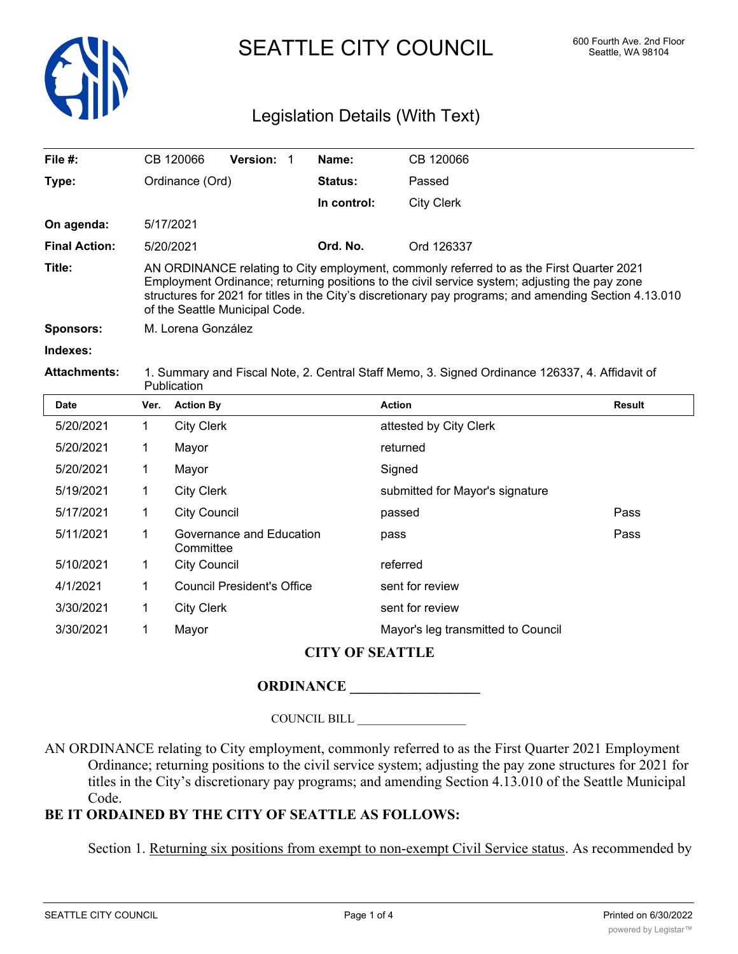

SEATTLE CITY COUNCIL 600 Fourth Ave. 2nd Floor

# Legislation Details (With Text)

| File $#$ :           | CB 120066                                                                                                                                                                                                                                                                                                                             | <b>Version:</b> |  | Name:          | CB 120066  |
|----------------------|---------------------------------------------------------------------------------------------------------------------------------------------------------------------------------------------------------------------------------------------------------------------------------------------------------------------------------------|-----------------|--|----------------|------------|
| Type:                | Ordinance (Ord)                                                                                                                                                                                                                                                                                                                       |                 |  | <b>Status:</b> | Passed     |
|                      |                                                                                                                                                                                                                                                                                                                                       |                 |  | In control:    | City Clerk |
| On agenda:           | 5/17/2021                                                                                                                                                                                                                                                                                                                             |                 |  |                |            |
| <b>Final Action:</b> | 5/20/2021                                                                                                                                                                                                                                                                                                                             |                 |  | Ord. No.       | Ord 126337 |
| Title:               | AN ORDINANCE relating to City employment, commonly referred to as the First Quarter 2021<br>Employment Ordinance; returning positions to the civil service system; adjusting the pay zone<br>structures for 2021 for titles in the City's discretionary pay programs; and amending Section 4.13.010<br>of the Seattle Municipal Code. |                 |  |                |            |
| Sponsors:            | M. Lorena González                                                                                                                                                                                                                                                                                                                    |                 |  |                |            |
| Indexes:             |                                                                                                                                                                                                                                                                                                                                       |                 |  |                |            |

**Attachments:** 1. Summary and Fiscal Note, 2. Central Staff Memo, 3. Signed Ordinance 126337, 4. Affidavit of **Publication** 

| <b>Date</b> | Ver. | <b>Action By</b>                      | <b>Action</b>                      | Result |  |  |
|-------------|------|---------------------------------------|------------------------------------|--------|--|--|
| 5/20/2021   | 1    | <b>City Clerk</b>                     | attested by City Clerk             |        |  |  |
| 5/20/2021   | 1    | Mayor                                 | returned                           |        |  |  |
| 5/20/2021   | 1    | Mayor                                 | Signed                             |        |  |  |
| 5/19/2021   | 1    | <b>City Clerk</b>                     | submitted for Mayor's signature    |        |  |  |
| 5/17/2021   | 1    | <b>City Council</b>                   | passed                             | Pass   |  |  |
| 5/11/2021   | 1    | Governance and Education<br>Committee | pass                               | Pass   |  |  |
| 5/10/2021   | 1    | <b>City Council</b>                   | referred                           |        |  |  |
| 4/1/2021    | 1    | <b>Council President's Office</b>     | sent for review                    |        |  |  |
| 3/30/2021   | 1    | <b>City Clerk</b>                     | sent for review                    |        |  |  |
| 3/30/2021   |      | Mayor                                 | Mayor's leg transmitted to Council |        |  |  |
|             |      |                                       |                                    |        |  |  |

## **CITY OF SEATTLE**

#### **ORDINANCE \_\_\_\_\_\_\_\_\_\_\_\_\_\_\_\_\_\_**

COUNCIL BILL \_\_\_\_\_\_\_\_\_\_\_\_\_\_\_\_\_\_

AN ORDINANCE relating to City employment, commonly referred to as the First Quarter 2021 Employment Ordinance; returning positions to the civil service system; adjusting the pay zone structures for 2021 for titles in the City's discretionary pay programs; and amending Section 4.13.010 of the Seattle Municipal Code.

## **BE IT ORDAINED BY THE CITY OF SEATTLE AS FOLLOWS:**

Section 1. Returning six positions from exempt to non-exempt Civil Service status. As recommended by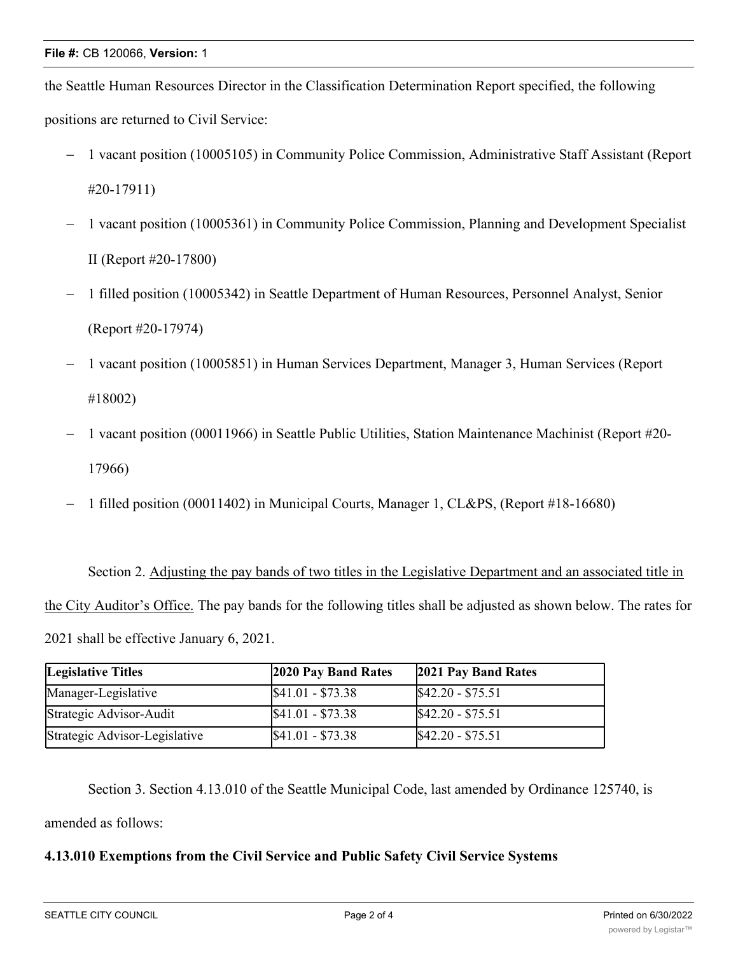the Seattle Human Resources Director in the Classification Determination Report specified, the following positions are returned to Civil Service:

- 1 vacant position (10005105) in Community Police Commission, Administrative Staff Assistant (Report #20-17911)
- 1 vacant position (10005361) in Community Police Commission, Planning and Development Specialist II (Report #20-17800)
- 1 filled position (10005342) in Seattle Department of Human Resources, Personnel Analyst, Senior (Report #20-17974)
- 1 vacant position (10005851) in Human Services Department, Manager 3, Human Services (Report #18002)
- 1 vacant position (00011966) in Seattle Public Utilities, Station Maintenance Machinist (Report #20- 17966)
- 1 filled position (00011402) in Municipal Courts, Manager 1, CL&PS, (Report #18-16680)

Section 2. Adjusting the pay bands of two titles in the Legislative Department and an associated title in the City Auditor's Office. The pay bands for the following titles shall be adjusted as shown below. The rates for 2021 shall be effective January 6, 2021.

| <b>Legislative Titles</b>     | 2020 Pay Band Rates | 2021 Pay Band Rates |
|-------------------------------|---------------------|---------------------|
| Manager-Legislative           | $$41.01 - $73.38$   | $$42.20 - $75.51$   |
| Strategic Advisor-Audit       | $$41.01 - $73.38$   | $$42.20 - $75.51$   |
| Strategic Advisor-Legislative | $$41.01 - $73.38$   | $$42.20 - $75.51$   |

Section 3. Section 4.13.010 of the Seattle Municipal Code, last amended by Ordinance 125740, is amended as follows:

## **4.13.010 Exemptions from the Civil Service and Public Safety Civil Service Systems**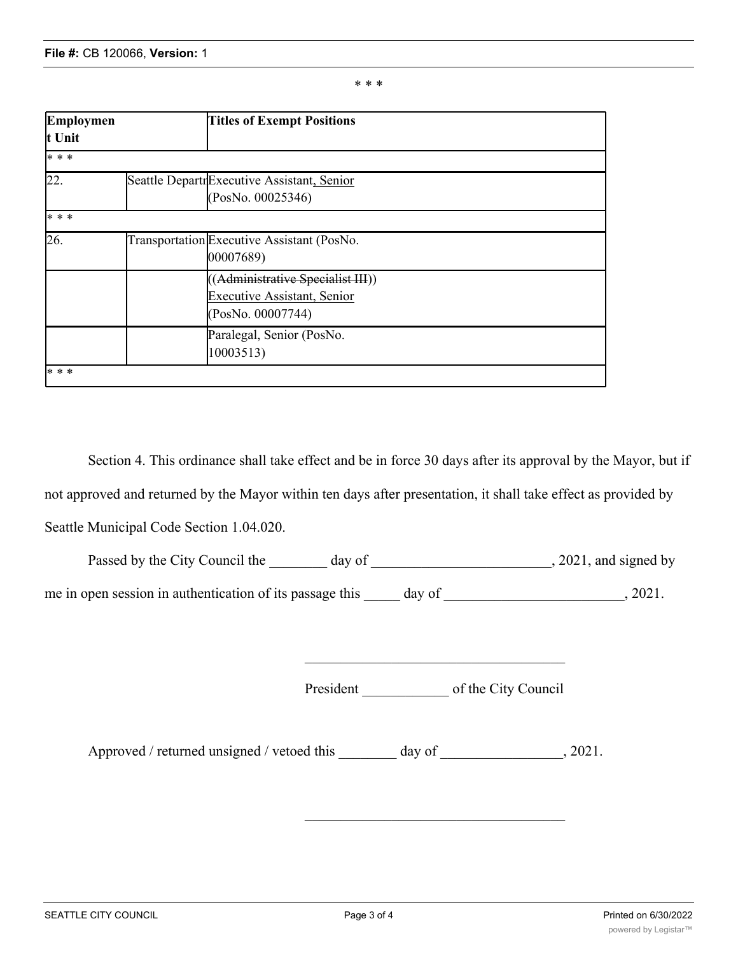\* \* \*

| Employmen |  | <b>Titles of Exempt Positions</b>          |  |  |
|-----------|--|--------------------------------------------|--|--|
| t Unit    |  |                                            |  |  |
| * * *     |  |                                            |  |  |
| 22.       |  | Seattle DepartrExecutive Assistant, Senior |  |  |
|           |  | (PosNo. 00025346)                          |  |  |
| * * *     |  |                                            |  |  |
| 26.       |  | Transportation Executive Assistant (PosNo. |  |  |
|           |  | 00007689)                                  |  |  |
|           |  | ((Administrative Specialist III))          |  |  |
|           |  | <b>Executive Assistant, Senior</b>         |  |  |
|           |  | (PosNo. 00007744)                          |  |  |
|           |  | Paralegal, Senior (PosNo.                  |  |  |
|           |  | 10003513)                                  |  |  |
| * * *     |  |                                            |  |  |

Section 4. This ordinance shall take effect and be in force 30 days after its approval by the Mayor, but if not approved and returned by the Mayor within ten days after presentation, it shall take effect as provided by Seattle Municipal Code Section 1.04.020.

| Passed by the City Council the day of                           |           | , 2021, and signed by |         |
|-----------------------------------------------------------------|-----------|-----------------------|---------|
| me in open session in authentication of its passage this day of |           |                       | , 2021. |
|                                                                 |           |                       |         |
|                                                                 | President | of the City Council   |         |
| Approved / returned unsigned / vetoed this day of 3021.         |           |                       |         |
|                                                                 |           |                       |         |